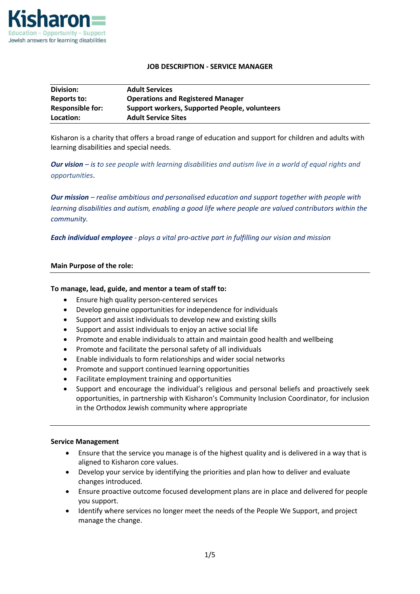

### **JOB DESCRIPTION - SERVICE MANAGER**

| Division:               | <b>Adult Services</b>                                |
|-------------------------|------------------------------------------------------|
| Reports to:             | <b>Operations and Registered Manager</b>             |
| <b>Responsible for:</b> | <b>Support workers, Supported People, volunteers</b> |
| Location:               | <b>Adult Service Sites</b>                           |

Kisharon is a charity that offers a broad range of education and support for children and adults with learning disabilities and special needs.

*Our vision – is to see people with learning disabilities and autism live in a world of equal rights and opportunities*.

*Our mission – realise ambitious and personalised education and support together with people with learning disabilities and autism, enabling a good life where people are valued contributors within the community.*

*Each individual employee - plays a vital pro-active part in fulfilling our vision and mission*

#### **Main Purpose of the role:**

#### **To manage, lead, guide, and mentor a team of staff to:**

- Ensure high quality person-centered services
- Develop genuine opportunities for independence for individuals
- Support and assist individuals to develop new and existing skills
- Support and assist individuals to enjoy an active social life
- Promote and enable individuals to attain and maintain good health and wellbeing
- Promote and facilitate the personal safety of all individuals
- Enable individuals to form relationships and wider social networks
- Promote and support continued learning opportunities
- Facilitate employment training and opportunities
- Support and encourage the individual's religious and personal beliefs and proactively seek opportunities, in partnership with Kisharon's Community Inclusion Coordinator, for inclusion in the Orthodox Jewish community where appropriate

#### **Service Management**

- Ensure that the service you manage is of the highest quality and is delivered in a way that is aligned to Kisharon core values.
- Develop your service by identifying the priorities and plan how to deliver and evaluate changes introduced.
- Ensure proactive outcome focused development plans are in place and delivered for people you support.
- Identify where services no longer meet the needs of the People We Support, and project manage the change.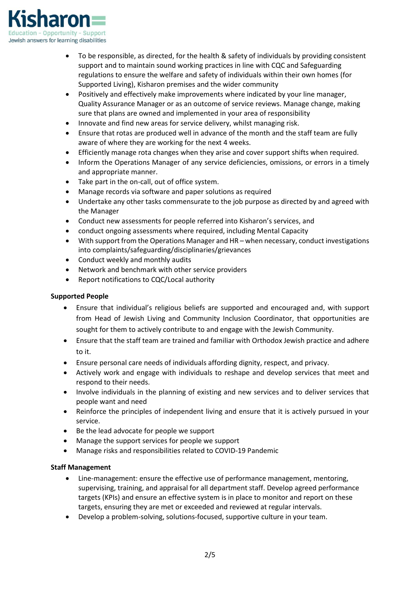

- To be responsible, as directed, for the health & safety of individuals by providing consistent support and to maintain sound working practices in line with CQC and Safeguarding regulations to ensure the welfare and safety of individuals within their own homes (for Supported Living), Kisharon premises and the wider community
- Positively and effectively make improvements where indicated by your line manager, Quality Assurance Manager or as an outcome of service reviews. Manage change, making sure that plans are owned and implemented in your area of responsibility
- Innovate and find new areas for service delivery, whilst managing risk.
- Ensure that rotas are produced well in advance of the month and the staff team are fully aware of where they are working for the next 4 weeks.
- Efficiently manage rota changes when they arise and cover support shifts when required.
- Inform the Operations Manager of any service deficiencies, omissions, or errors in a timely and appropriate manner.
- Take part in the on-call, out of office system.
- Manage records via software and paper solutions as required
- Undertake any other tasks commensurate to the job purpose as directed by and agreed with the Manager
- Conduct new assessments for people referred into Kisharon's services, and
- conduct ongoing assessments where required, including Mental Capacity
- With support from the Operations Manager and HR when necessary, conduct investigations into complaints/safeguarding/disciplinaries/grievances
- Conduct weekly and monthly audits
- Network and benchmark with other service providers
- Report notifications to CQC/Local authority

# **Supported People**

- Ensure that individual's religious beliefs are supported and encouraged and, with support from Head of Jewish Living and Community Inclusion Coordinator, that opportunities are sought for them to actively contribute to and engage with the Jewish Community.
- Ensure that the staff team are trained and familiar with Orthodox Jewish practice and adhere to it.
- Ensure personal care needs of individuals affording dignity, respect, and privacy.
- Actively work and engage with individuals to reshape and develop services that meet and respond to their needs.
- Involve individuals in the planning of existing and new services and to deliver services that people want and need
- Reinforce the principles of independent living and ensure that it is actively pursued in your service.
- Be the lead advocate for people we support
- Manage the support services for people we support
- Manage risks and responsibilities related to COVID-19 Pandemic

# **Staff Management**

- Line-management: ensure the effective use of performance management, mentoring, supervising, training, and appraisal for all department staff. Develop agreed performance targets (KPIs) and ensure an effective system is in place to monitor and report on these targets, ensuring they are met or exceeded and reviewed at regular intervals.
- Develop a problem-solving, solutions-focused, supportive culture in your team.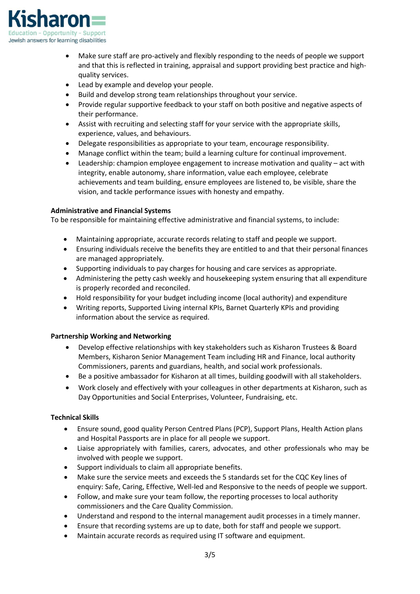

- Make sure staff are pro-actively and flexibly responding to the needs of people we support and that this is reflected in training, appraisal and support providing best practice and highquality services.
- Lead by example and develop your people.
- Build and develop strong team relationships throughout your service.
- Provide regular supportive feedback to your staff on both positive and negative aspects of their performance.
- Assist with recruiting and selecting staff for your service with the appropriate skills, experience, values, and behaviours.
- Delegate responsibilities as appropriate to your team, encourage responsibility.
- Manage conflict within the team; build a learning culture for continual improvement.
- Leadership: champion employee engagement to increase motivation and quality act with integrity, enable autonomy, share information, value each employee, celebrate achievements and team building, ensure employees are listened to, be visible, share the vision, and tackle performance issues with honesty and empathy.

## **Administrative and Financial Systems**

To be responsible for maintaining effective administrative and financial systems, to include:

- Maintaining appropriate, accurate records relating to staff and people we support.
- Ensuring individuals receive the benefits they are entitled to and that their personal finances are managed appropriately.
- Supporting individuals to pay charges for housing and care services as appropriate.
- Administering the petty cash weekly and housekeeping system ensuring that all expenditure is properly recorded and reconciled.
- Hold responsibility for your budget including income (local authority) and expenditure
- Writing reports, Supported Living internal KPIs, Barnet Quarterly KPIs and providing information about the service as required.

## **Partnership Working and Networking**

- Develop effective relationships with key stakeholders such as Kisharon Trustees & Board Members, Kisharon Senior Management Team including HR and Finance, local authority Commissioners, parents and guardians, health, and social work professionals.
- Be a positive ambassador for Kisharon at all times, building goodwill with all stakeholders.
- Work closely and effectively with your colleagues in other departments at Kisharon, such as Day Opportunities and Social Enterprises, Volunteer, Fundraising, etc.

## **Technical Skills**

- Ensure sound, good quality Person Centred Plans (PCP), Support Plans, Health Action plans and Hospital Passports are in place for all people we support.
- Liaise appropriately with families, carers, advocates, and other professionals who may be involved with people we support.
- Support individuals to claim all appropriate benefits.
- Make sure the service meets and exceeds the 5 standards set for the CQC Key lines of enquiry: Safe, Caring, Effective, Well-led and Responsive to the needs of people we support.
- Follow, and make sure your team follow, the reporting processes to local authority commissioners and the Care Quality Commission.
- Understand and respond to the internal management audit processes in a timely manner.
- Ensure that recording systems are up to date, both for staff and people we support.
- Maintain accurate records as required using IT software and equipment.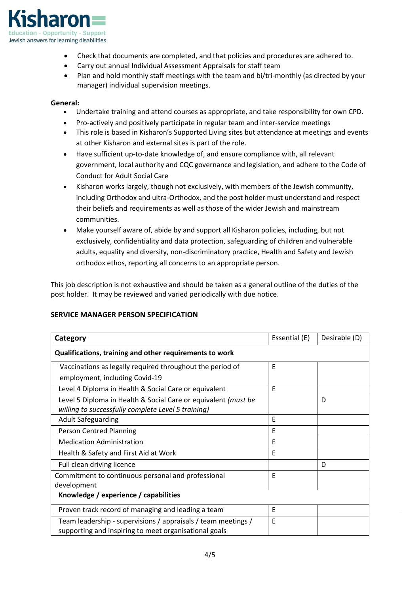

- Check that documents are completed, and that policies and procedures are adhered to.
- Carry out annual Individual Assessment Appraisals for staff team
- Plan and hold monthly staff meetings with the team and bi/tri-monthly (as directed by your manager) individual supervision meetings.

### **General:**

- Undertake training and attend courses as appropriate, and take responsibility for own CPD.
- Pro-actively and positively participate in regular team and inter-service meetings
- This role is based in Kisharon's Supported Living sites but attendance at meetings and events at other Kisharon and external sites is part of the role.
- Have sufficient up-to-date knowledge of, and ensure compliance with, all relevant government, local authority and CQC governance and legislation, and adhere to the Code of Conduct for Adult Social Care
- Kisharon works largely, though not exclusively, with members of the Jewish community, including Orthodox and ultra-Orthodox, and the post holder must understand and respect their beliefs and requirements as well as those of the wider Jewish and mainstream communities.
- Make yourself aware of, abide by and support all Kisharon policies, including, but not exclusively, confidentiality and data protection, safeguarding of children and vulnerable adults, equality and diversity, non-discriminatory practice, Health and Safety and Jewish orthodox ethos, reporting all concerns to an appropriate person.

This job description is not exhaustive and should be taken as a general outline of the duties of the post holder. It may be reviewed and varied periodically with due notice.

| Category                                                                                                               | Essential (E) | Desirable (D) |  |  |
|------------------------------------------------------------------------------------------------------------------------|---------------|---------------|--|--|
| Qualifications, training and other requirements to work                                                                |               |               |  |  |
| Vaccinations as legally required throughout the period of                                                              | E             |               |  |  |
| employment, including Covid-19                                                                                         |               |               |  |  |
| Level 4 Diploma in Health & Social Care or equivalent                                                                  | F             |               |  |  |
| Level 5 Diploma in Health & Social Care or equivalent (must be                                                         |               | D             |  |  |
| willing to successfully complete Level 5 training)                                                                     |               |               |  |  |
| <b>Adult Safeguarding</b>                                                                                              | E             |               |  |  |
| <b>Person Centred Planning</b>                                                                                         | E             |               |  |  |
| <b>Medication Administration</b>                                                                                       | E             |               |  |  |
| Health & Safety and First Aid at Work                                                                                  | E             |               |  |  |
| Full clean driving licence                                                                                             |               | D             |  |  |
| Commitment to continuous personal and professional                                                                     | E             |               |  |  |
| development                                                                                                            |               |               |  |  |
| Knowledge / experience / capabilities                                                                                  |               |               |  |  |
| Proven track record of managing and leading a team                                                                     | E             |               |  |  |
| Team leadership - supervisions / appraisals / team meetings /<br>supporting and inspiring to meet organisational goals | E             |               |  |  |

# **SERVICE MANAGER PERSON SPECIFICATION**